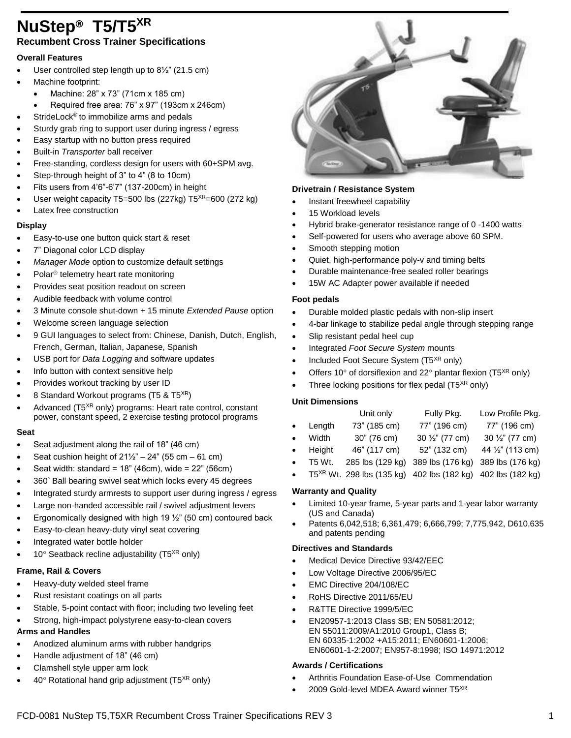## **NuStep T5/T5XR Recumbent Cross Trainer Specifications**

### **Overall Features**

- User controlled step length up to 8½" (21.5 cm)
- Machine footprint:
	- Machine: 28" x 73" (71cm x 185 cm)
	- Required free area: 76" x 97" (193cm x 246cm)
	- StrideLock® to immobilize arms and pedals
- Sturdy grab ring to support user during ingress / egress
- Easy startup with no button press required
- Built-in *Transporter* ball receiver
- Free-standing, cordless design for users with 60+SPM avg.
- Step-through height of 3" to 4" (8 to 10cm)
- Fits users from 4'6"-6'7" (137-200cm) in height
- User weight capacity T5=500 lbs (227kg)  $T5^{XR}$ =600 (272 kg)
- Latex free construction

#### **Display**

- Easy-to-use one button quick start & reset
- 7" Diagonal color LCD display
- *Manager Mode* option to customize default settings
- Polar<sup>®</sup> telemetry heart rate monitoring
- Provides seat position readout on screen
- Audible feedback with volume control
- 3 Minute console shut-down + 15 minute *Extended Pause* option
- Welcome screen language selection
- 9 GUI languages to select from: Chinese, Danish, Dutch, English, French, German, Italian, Japanese, Spanish
- USB port for *Data Logging* and software updates
- Info button with context sensitive help
- Provides workout tracking by user ID
- 8 Standard Workout programs (T5 & T5XR)
- Advanced (T5<sup>XR</sup> only) programs: Heart rate control, constant power, constant speed, 2 exercise testing protocol programs

#### **Seat**

- Seat adjustment along the rail of 18" (46 cm)
- Seat cushion height of  $21\frac{1}{2}$ " 24" (55 cm 61 cm)
- Seat width: standard = 18" (46cm), wide = 22" (56cm)
- 360° Ball bearing swivel seat which locks every 45 degrees
- Integrated sturdy armrests to support user during ingress / egress
- Large non-handed accessible rail / swivel adjustment levers
- Ergonomically designed with high 19  $\frac{1}{2}$ " (50 cm) contoured back
- Easy-to-clean heavy-duty vinyl seat covering
- Integrated water bottle holder
- $10^\circ$  Seatback recline adjustability (T5<sup>XR</sup> only)

#### **Frame, Rail & Covers**

- Heavy-duty welded steel frame
- Rust resistant coatings on all parts
- Stable, 5-point contact with floor; including two leveling feet
- Strong, high-impact polystyrene easy-to-clean covers

## **Arms and Handles**

- Anodized aluminum arms with rubber handgrips
- Handle adjustment of 18" (46 cm)
- Clamshell style upper arm lock
- $40^\circ$  Rotational hand grip adjustment (T5<sup>XR</sup> only)



#### **Drivetrain / Resistance System**

- Instant freewheel capability
- 15 Workload levels
- Hybrid brake-generator resistance range of 0 -1400 watts
- Self-powered for users who average above 60 SPM.
- Smooth stepping motion
- Quiet, high-performance poly-v and timing belts
- Durable maintenance-free sealed roller bearings
- 15W AC Adapter power available if needed

#### **Foot pedals**

- Durable molded plastic pedals with non-slip insert
- 4-bar linkage to stabilize pedal angle through stepping range
- Slip resistant pedal heel cup
- Integrated *Foot Secure System* mounts
- $\bullet$  Included Foot Secure System (T5<sup>XR</sup> only)
- Offers 10 $\degree$  of dorsiflexion and 22 $\degree$  plantar flexion (T5<sup>XR</sup> only)
- Three locking positions for flex pedal  $(T5<sup>XR</sup>$  only)

#### **Unit Dimensions**

|           |        | Unit only        | Fully Pkg.                                                                | Low Profile Pkg. |
|-----------|--------|------------------|---------------------------------------------------------------------------|------------------|
| $\bullet$ | Length | 73" (185 cm)     | 77" (196 cm)                                                              | 77" (196 cm)     |
| $\bullet$ | Width  | 30" (76 cm)      | $30\frac{1}{2}$ " (77 cm)                                                 | 30 1/2" (77 cm)  |
| $\bullet$ | Height | 46" (117 cm)     | 52" (132 cm)                                                              | 44 1/2" (113 cm) |
| $\bullet$ | T5 Wt. | 285 lbs (129 kg) | 389 lbs (176 kg)                                                          | 389 lbs (176 kg) |
|           |        |                  | • T5 <sup>XR</sup> Wt. 298 lbs (135 kg) 402 lbs (182 kg) 402 lbs (182 kg) |                  |
|           |        |                  |                                                                           |                  |

#### **Warranty and Quality**

- Limited 10-year frame, 5-year parts and 1-year labor warranty (US and Canada)
- Patents 6,042,518; 6,361,479; 6,666,799; 7,775,942, D610,635 and patents pending

#### **Directives and Standards**

- Medical Device Directive 93/42/EEC
- Low Voltage Directive 2006/95/EC
- EMC Directive 204/108/EC
- RoHS Directive 2011/65/EU
- R&TTE Directive 1999/5/EC
- EN20957-1:2013 Class SB; EN 50581:2012; EN 55011:2009/A1:2010 Group1, Class B; EN 60335-1:2002 +A15:2011; EN60601-1:2006; EN60601-1-2:2007; EN957-8:1998; ISO 14971:2012

#### **Awards / Certifications**

- Arthritis Foundation Ease-of-Use Commendation
- 2009 Gold-level MDEA Award winner T5<sup>XR</sup>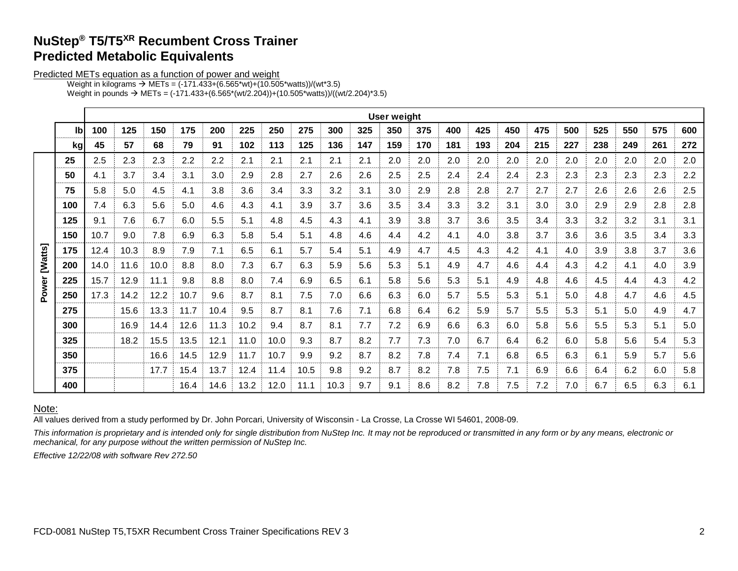## **NuStep® T5/T5XR Recumbent Cross Trainer Predicted Metabolic Equivalents**

Predicted METs equation as a function of power and weight

Weight in kilograms  $\rightarrow$  METs = (-171.433+(6.565\*wt)+(10.505\*watts))/(wt\*3.5)

|  |  |  |  | Weight in pounds $\rightarrow$ METs = (-171.433+(6.565*(wt/2.204))+(10.505*watts))/((wt/2.204)*3.5) |
|--|--|--|--|-----------------------------------------------------------------------------------------------------|
|--|--|--|--|-----------------------------------------------------------------------------------------------------|

|        |     | User weight |      |      |      |      |      |      |      |      |     |     |     |     |     |     |     |     |     |     |     |         |
|--------|-----|-------------|------|------|------|------|------|------|------|------|-----|-----|-----|-----|-----|-----|-----|-----|-----|-----|-----|---------|
|        | lb  | 100         | 125  | 150  | 175  | 200  | 225  | 250  | 275  | 300  | 325 | 350 | 375 | 400 | 425 | 450 | 475 | 500 | 525 | 550 | 575 | 600     |
|        | kg  | 45          | 57   | 68   | 79   | 91   | 102  | 113  | 125  | 136  | 147 | 159 | 170 | 181 | 193 | 204 | 215 | 227 | 238 | 249 | 261 | 272     |
|        | 25  | 2.5         | 2.3  | 2.3  | 2.2  | 2.2  | 2.1  | 2.1  | 2.1  | 2.1  | 2.1 | 2.0 | 2.0 | 2.0 | 2.0 | 2.0 | 2.0 | 2.0 | 2.0 | 2.0 | 2.0 | $2.0\,$ |
|        | 50  | 4.1         | 3.7  | 3.4  | 3.1  | 3.0  | 2.9  | 2.8  | 2.7  | 2.6  | 2.6 | 2.5 | 2.5 | 2.4 | 2.4 | 2.4 | 2.3 | 2.3 | 2.3 | 2.3 | 2.3 | 2.2     |
|        | 75  | 5.8         | 5.0  | 4.5  | 4.1  | 3.8  | 3.6  | 3.4  | 3.3  | 3.2  | 3.1 | 3.0 | 2.9 | 2.8 | 2.8 | 2.7 | 2.7 | 2.7 | 2.6 | 2.6 | 2.6 | 2.5     |
|        | 100 | 7.4         | 6.3  | 5.6  | 5.0  | 4.6  | 4.3  | 4.1  | 3.9  | 3.7  | 3.6 | 3.5 | 3.4 | 3.3 | 3.2 | 3.1 | 3.0 | 3.0 | 2.9 | 2.9 | 2.8 | 2.8     |
|        | 125 | 9.1         | 7.6  | 6.7  | 6.0  | 5.5  | 5.1  | 4.8  | 4.5  | 4.3  | 4.1 | 3.9 | 3.8 | 3.7 | 3.6 | 3.5 | 3.4 | 3.3 | 3.2 | 3.2 | 3.1 | 3.1     |
|        | 150 | 10.7        | 9.0  | 7.8  | 6.9  | 6.3  | 5.8  | 5.4  | 5.1  | 4.8  | 4.6 | 4.4 | 4.2 | 4.1 | 4.0 | 3.8 | 3.7 | 3.6 | 3.6 | 3.5 | 3.4 | 3.3     |
|        | 175 | 12.4        | 10.3 | 8.9  | 7.9  | 7.1  | 6.5  | 6.1  | 5.7  | 5.4  | 5.1 | 4.9 | 4.7 | 4.5 | 4.3 | 4.2 | 4.1 | 4.0 | 3.9 | 3.8 | 3.7 | 3.6     |
| [Wats] | 200 | 14.0        | 11.6 | 10.0 | 8.8  | 8.0  | 7.3  | 6.7  | 6.3  | 5.9  | 5.6 | 5.3 | 5.1 | 4.9 | 4.7 | 4.6 | 4.4 | 4.3 | 4.2 | 4.1 | 4.0 | 3.9     |
|        | 225 | 15.7        | 12.9 | 11.1 | 9.8  | 8.8  | 8.0  | 7.4  | 6.9  | 6.5  | 6.1 | 5.8 | 5.6 | 5.3 | 5.1 | 4.9 | 4.8 | 4.6 | 4.5 | 4.4 | 4.3 | 4.2     |
| Power  | 250 | 17.3        | 14.2 | 12.2 | 10.7 | 9.6  | 8.7  | 8.1  | 7.5  | 7.0  | 6.6 | 6.3 | 6.0 | 5.7 | 5.5 | 5.3 | 5.1 | 5.0 | 4.8 | 4.7 | 4.6 | 4.5     |
|        | 275 |             | 15.6 | 13.3 | 11.7 | 10.4 | 9.5  | 8.7  | 8.1  | 7.6  | 7.1 | 6.8 | 6.4 | 6.2 | 5.9 | 5.7 | 5.5 | 5.3 | 5.1 | 5.0 | 4.9 | 4.7     |
|        | 300 |             | 16.9 | 14.4 | 12.6 | 11.3 | 10.2 | 9.4  | 8.7  | 8.1  | 7.7 | 7.2 | 6.9 | 6.6 | 6.3 | 6.0 | 5.8 | 5.6 | 5.5 | 5.3 | 5.1 | 5.0     |
|        | 325 |             | 18.2 | 15.5 | 13.5 | 12.1 | 11.0 | 10.0 | 9.3  | 8.7  | 8.2 | 7.7 | 7.3 | 7.0 | 6.7 | 6.4 | 6.2 | 6.0 | 5.8 | 5.6 | 5.4 | 5.3     |
|        | 350 |             |      | 16.6 | 14.5 | 12.9 | 11.7 | 10.7 | 9.9  | 9.2  | 8.7 | 8.2 | 7.8 | 7.4 | 7.1 | 6.8 | 6.5 | 6.3 | 6.1 | 5.9 | 5.7 | 5.6     |
|        | 375 |             |      | 17.7 | 15.4 | 13.7 | 12.4 | 11.4 | 10.5 | 9.8  | 9.2 | 8.7 | 8.2 | 7.8 | 7.5 | 7.1 | 6.9 | 6.6 | 6.4 | 6.2 | 6.0 | 5.8     |
|        | 400 |             |      |      | 16.4 | 14.6 | 13.2 | 12.0 | 11.1 | 10.3 | 9.7 | 9.1 | 8.6 | 8.2 | 7.8 | 7.5 | 7.2 | 7.0 | 6.7 | 6.5 | 6.3 | 6.1     |

#### Note:

All values derived from a study performed by Dr. John Porcari, University of Wisconsin - La Crosse, La Crosse WI 54601, 2008-09.

*This information is proprietary and is intended only for single distribution from NuStep Inc. It may not be reproduced or transmitted in any form or by any means, electronic or mechanical, for any purpose without the written permission of NuStep Inc.*

*Effective 12/22/08 with software Rev 272.50*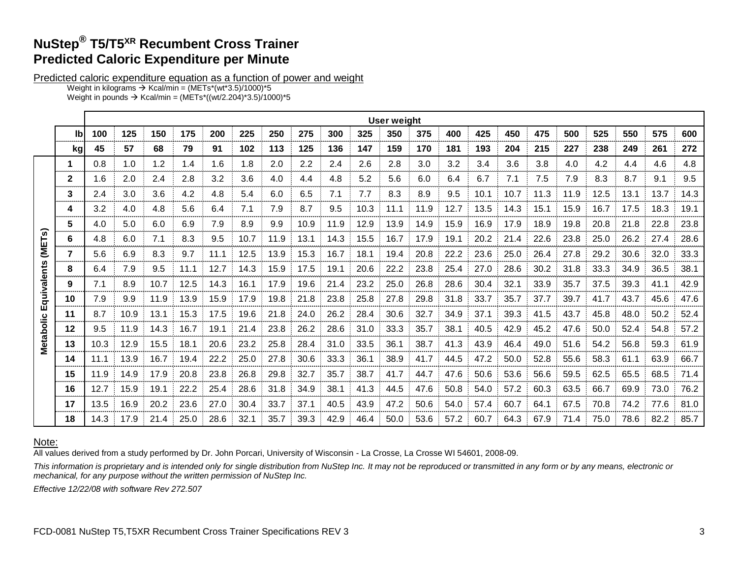# **NuStep® T5/T5XR Recumbent Cross Trainer Predicted Caloric Expenditure per Minute**

Predicted caloric expenditure equation as a function of power and weight

Weight in kilograms  $\rightarrow$  Kcal/min = (METs\*(wt\*3.5)/1000)\*5 Weight in pounds  $\rightarrow$  Kcal/min = (METs\*((wt/2.204)\*3.5)/1000)\*5

|                        |              |      |      |      |      |      |      |      |      |      |      |      |      | <b>User weight</b> |      |      |      |      |      |      |      |                                                                                                      |  |  |  |  |  |  |
|------------------------|--------------|------|------|------|------|------|------|------|------|------|------|------|------|--------------------|------|------|------|------|------|------|------|------------------------------------------------------------------------------------------------------|--|--|--|--|--|--|
|                        | lb           | 100  | 125  | 150  | 175  | 200  | 225  | 250  | 275  | 300  | 325  | 350  | 375  | 400                | 425  | 450  | 475  | 500  | 525  | 550  | 575  | 600                                                                                                  |  |  |  |  |  |  |
|                        | kg           | 45   | 57   | 68   | 79   | 91   | 102  | 113  | 125  | 136  | 147  | 159  | 170  | 181                | 193  | 204  | 215  | 227  | 238  | 249  | 261  | 272                                                                                                  |  |  |  |  |  |  |
|                        | 1            | 0.8  | 1.0  | 1.2  | 1.4  | 1.6  | 1.8  | 2.0  | 2.2  | 2.4  | 2.6  | 2.8  | 3.0  | 3.2                | 3.4  | 3.6  | 3.8  | 4.0  | 4.2  | 4.4  | 4.6  | 4.8                                                                                                  |  |  |  |  |  |  |
|                        | $\mathbf{2}$ | 1.6  | 2.0  | 2.4  | 2.8  | 3.2  | 3.6  | 4.0  | 4.4  | 4.8  | 5.2  | 5.6  | 6.0  | 6.4                | 6.7  | 7.1  | 7.5  | 7.9  | 8.3  | 8.7  | 9.1  | 9.5                                                                                                  |  |  |  |  |  |  |
|                        | 3            | 2.4  | 3.0  | 3.6  | 4.2  | 4.8  | 5.4  | 6.0  | 6.5  | 7.1  | 7.7  | 8.3  | 8.9  | 9.5                | 10.1 | 10.7 | 11.3 | 11.9 | 12.5 | 13.1 | 13.7 | 14.3                                                                                                 |  |  |  |  |  |  |
|                        | 4            | 3.2  | 4.0  | 4.8  | 5.6  | 6.4  | 7.1  | 7.9  | 8.7  | 9.5  | 10.3 | 11.1 | 11.9 | 12.7               | 13.5 | 14.3 | 15.1 | 15.9 | 16.7 | 17.5 | 18.3 | 19.1                                                                                                 |  |  |  |  |  |  |
|                        | 5            | 4.0  | 5.0  | 6.0  | 6.9  | 7.9  | 8.9  | 9.9  | 10.9 | 11.9 | 12.9 | 13.9 | 14.9 | 15.9               | 16.9 | 17.9 | 18.9 | 19.8 | 20.8 | 21.8 | 22.8 | 23.8                                                                                                 |  |  |  |  |  |  |
| $\widehat{\mathbf{S}}$ | 6            | 4.8  | 6.0  | 7.1  | 8.3  | 9.5  | 10.7 | 11.9 | 13.1 | 14.3 | 15.5 | 16.7 | 17.9 | 19.1               | 20.2 | 21.4 | 22.6 | 23.8 | 25.0 | 26.2 | 27.4 | 28.6<br>33.3<br>38.1<br>42.9<br>47.6<br>52.4<br>57.2<br>61.9<br>66.7<br>71.4<br>76.2<br>81.0<br>85.7 |  |  |  |  |  |  |
| (MET-<br>Equivalents   |              | 5.6  | 6.9  | 8.3  | 9.7  | 11.1 | 12.5 | 13.9 | 15.3 | 16.7 | 18.1 | 19.4 | 20.8 | 22.2               | 23.6 | 25.0 | 26.4 | 27.8 | 29.2 | 30.6 | 32.0 |                                                                                                      |  |  |  |  |  |  |
|                        | 8            | 6.4  | 7.9  | 9.5  | 11.1 | 12.7 | 14.3 | 15.9 | 17.5 | 19.1 | 20.6 | 22.2 | 23.8 | 25.4               | 27.0 | 28.6 | 30.2 | 31.8 | 33.3 | 34.9 | 36.5 |                                                                                                      |  |  |  |  |  |  |
|                        | 9            | 7.1  | 8.9  | 10.7 | 12.5 | 14.3 | 16.1 | 17.9 | 19.6 | 21.4 | 23.2 | 25.0 | 26.8 | 28.6               | 30.4 | 32.1 | 33.9 | 35.7 | 37.5 | 39.3 | 41.1 |                                                                                                      |  |  |  |  |  |  |
|                        | 10           | 7.9  | 9.9  | 11.9 | 13.9 | 15.9 | 17.9 | 19.8 | 21.8 | 23.8 | 25.8 | 27.8 | 29.8 | 31.8               | 33.7 | 35.7 | 37.7 | 39.7 | 41.7 | 43.7 | 45.6 |                                                                                                      |  |  |  |  |  |  |
|                        | 11           | 8.7  | 10.9 | 13.1 | 15.3 | 17.5 | 19.6 | 21.8 | 24.0 | 26.2 | 28.4 | 30.6 | 32.7 | 34.9               | 37.1 | 39.3 | 41.5 | 43.7 | 45.8 | 48.0 | 50.2 |                                                                                                      |  |  |  |  |  |  |
|                        | 12           | 9.5  | 11.9 | 14.3 | 16.7 | 19.1 | 21.4 | 23.8 | 26.2 | 28.6 | 31.0 | 33.3 | 35.7 | 38.1               | 40.5 | 42.9 | 45.2 | 47.6 | 50.0 | 52.4 | 54.8 |                                                                                                      |  |  |  |  |  |  |
| <b>Metabolic</b>       | 13           | 10.3 | 12.9 | 15.5 | 18.1 | 20.6 | 23.2 | 25.8 | 28.4 | 31.0 | 33.5 | 36.1 | 38.7 | 41.3               | 43.9 | 46.4 | 49.0 | 51.6 | 54.2 | 56.8 | 59.3 |                                                                                                      |  |  |  |  |  |  |
|                        | 14           | 11.1 | 13.9 | 16.7 | 19.4 | 22.2 | 25.0 | 27.8 | 30.6 | 33.3 | 36.1 | 38.9 | 41.7 | 44.5               | 47.2 | 50.0 | 52.8 | 55.6 | 58.3 | 61.1 | 63.9 |                                                                                                      |  |  |  |  |  |  |
|                        | 15           | 11.9 | 14.9 | 17.9 | 20.8 | 23.8 | 26.8 | 29.8 | 32.7 | 35.7 | 38.7 | 41.7 | 44.7 | 47.6               | 50.6 | 53.6 | 56.6 | 59.5 | 62.5 | 65.5 | 68.5 |                                                                                                      |  |  |  |  |  |  |
|                        | 16           | 12.7 | 15.9 | 19.1 | 22.2 | 25.4 | 28.6 | 31.8 | 34.9 | 38.1 | 41.3 | 44.5 | 47.6 | 50.8               | 54.0 | 57.2 | 60.3 | 63.5 | 66.7 | 69.9 | 73.0 |                                                                                                      |  |  |  |  |  |  |
|                        | 17           | 13.5 | 16.9 | 20.2 | 23.6 | 27.0 | 30.4 | 33.7 | 37.1 | 40.5 | 43.9 | 47.2 | 50.6 | 54.0               | 57.4 | 60.7 | 64.1 | 67.5 | 70.8 | 74.2 | 77.6 |                                                                                                      |  |  |  |  |  |  |
|                        | 18           | 14.3 | 17.9 | 21.4 | 25.0 | 28.6 | 32.1 | 35.7 | 39.3 | 42.9 | 46.4 | 50.0 | 53.6 | 57.2 60.7          |      | 64.3 | 67.9 | 71.4 | 75.0 | 78.6 | 82.2 |                                                                                                      |  |  |  |  |  |  |

## Note:

All values derived from a study performed by Dr. John Porcari, University of Wisconsin - La Crosse, La Crosse WI 54601, 2008-09.

*This information is proprietary and is intended only for single distribution from NuStep Inc. It may not be reproduced or transmitted in any form or by any means, electronic or mechanical, for any purpose without the written permission of NuStep Inc.*

*Effective 12/22/08 with software Rev 272.507*